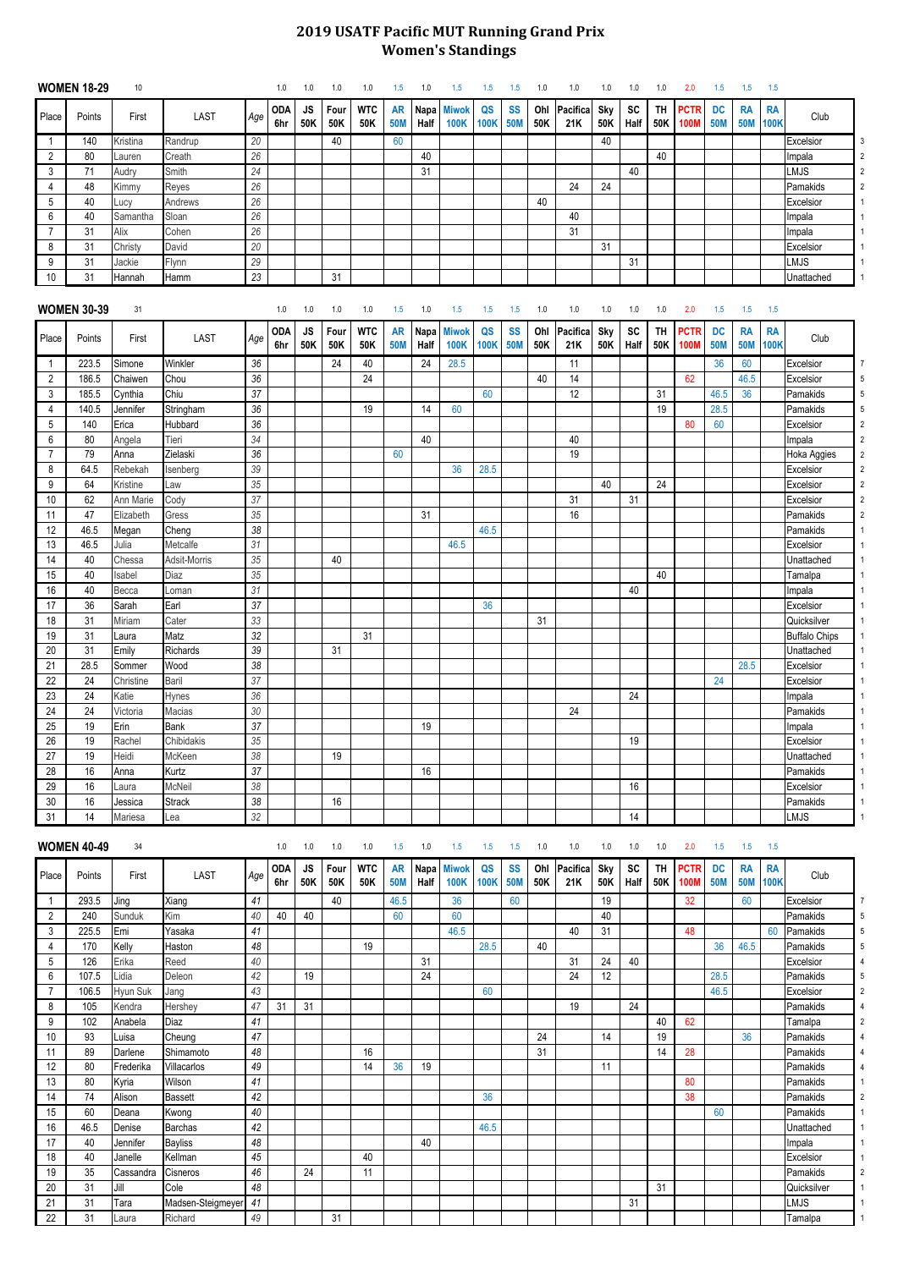## **2019 USATF Pacific MUT Running Grand Prix Women's Standings**

|                | <b>WOMEN 18-29</b> | 10        |                 |        | 1.0               | 1.0              | 1.0         | 1.0               | 1.5                     | 1.0          | 1.5                         | 1.5            | 1.5       | 1.0        | 1.0             | 1.0               | 1.0               | 1.0              | 2.0                        | 1.5                     | 1.5                     | 1.5                      |                               |
|----------------|--------------------|-----------|-----------------|--------|-------------------|------------------|-------------|-------------------|-------------------------|--------------|-----------------------------|----------------|-----------|------------|-----------------|-------------------|-------------------|------------------|----------------------------|-------------------------|-------------------------|--------------------------|-------------------------------|
| Place          | Points             | First     | LAST            | Age    | <b>ODA</b><br>6hr | <b>JS</b><br>50K | Four<br>50K | <b>WTC</b><br>50K | <b>AR</b><br><b>50M</b> | Napa<br>Half | <b>Miwok</b><br><b>100K</b> | QS<br>100K 50M | <b>SS</b> | Ohl<br>50K | Pacifica<br>21K | <b>Sky</b><br>50K | <b>SC</b><br>Half | TH<br>50K        | <b>PCTR</b><br><b>100M</b> | <b>DC</b><br><b>50M</b> | <b>RA</b><br><b>50M</b> | <b>RA</b><br><b>100K</b> | Club                          |
| -1             | 140                | Kristina  | Randrup         | 20     |                   |                  | 40          |                   | 60                      |              |                             |                |           |            |                 | 40                |                   |                  |                            |                         |                         |                          | Excelsior<br>3                |
| $\overline{2}$ | 80                 | Lauren    | Creath          | 26     |                   |                  |             |                   |                         | 40           |                             |                |           |            |                 |                   |                   | 40               |                            |                         |                         |                          | $\overline{2}$<br>Impala      |
| 3              | 71                 | Audry     | Smith           | 24     |                   |                  |             |                   |                         | 31           |                             |                |           |            |                 |                   | 40                |                  |                            |                         |                         |                          | <b>LMJS</b><br>$\overline{2}$ |
| 4              | 48                 | Kimmy     | Reyes           | 26     |                   |                  |             |                   |                         |              |                             |                |           |            | 24              | 24                |                   |                  |                            |                         |                         |                          | Pamakids<br>$\overline{2}$    |
| 5              | 40                 | Lucy      | Andrews         | 26     |                   |                  |             |                   |                         |              |                             |                |           | 40         |                 |                   |                   |                  |                            |                         |                         |                          | Excelsior                     |
| 6              | 40                 | Samantha  | Sloan           | 26     |                   |                  |             |                   |                         |              |                             |                |           |            | 40              |                   |                   |                  |                            |                         |                         |                          | Impala                        |
| 7              | 31                 | Alix      | Cohen           | 26     |                   |                  |             |                   |                         |              |                             |                |           |            | 31              |                   |                   |                  |                            |                         |                         |                          | Impala                        |
| 8              | 31                 | Christy   | David           | 20     |                   |                  |             |                   |                         |              |                             |                |           |            |                 | 31                |                   |                  |                            |                         |                         |                          | Excelsior                     |
| 9              | 31                 | Jackie    | Flynn           | 29     |                   |                  |             |                   |                         |              |                             |                |           |            |                 |                   | 31                |                  |                            |                         |                         |                          | <b>LMJS</b>                   |
| 10             | 31                 | Hannah    | Hamm            | 23     |                   |                  | 31          |                   |                         |              |                             |                |           |            |                 |                   |                   |                  |                            |                         |                         |                          | Unattached                    |
|                | <b>WOMEN 30-39</b> | 31        |                 |        | 1.0               | 1.0              | 1.0         | 1.0               | 1.5                     | 1.0          | 1.5                         | 1.5            | 1.5       | 1.0        | 1.0             | 1.0               | 1.0               | 1.0              | 2.0                        | 1.5                     | 1.5                     | 1.5                      |                               |
| Place          | Points             | First     | <b>LAST</b>     | Age    | <b>ODA</b><br>6hr | <b>JS</b><br>50K | Four<br>50K | <b>WTC</b><br>50K | <b>AR</b><br><b>50M</b> | Napa<br>Half | <b>Miwok</b><br><b>100K</b> | QS<br>100K 50M | <b>SS</b> | Ohl<br>50K | Pacifica<br>21K | <b>Sky</b><br>50K | <b>SC</b><br>Half | <b>TH</b><br>50K | <b>PCTR</b><br><b>100M</b> | <b>DC</b><br><b>50M</b> | <b>RA</b><br><b>50M</b> | <b>RA</b><br><b>100K</b> | Club                          |
| $\overline{1}$ | 223.5              | Simone    | Winkler         | 36     |                   |                  | 24          | 40                |                         | 24           | 28.5                        |                |           |            | 11              |                   |                   |                  |                            | 36                      | 60                      |                          | Excelsior<br>7                |
| $\overline{2}$ | 186.5              | Chaiwen   | Chou            | 36     |                   |                  |             | 24                |                         |              |                             |                |           | 40         | 14              |                   |                   |                  | 62                         |                         | 46.5                    |                          | Excelsior<br>5                |
| 3              | 185.5              | Cynthia   | Chiu            | 37     |                   |                  |             |                   |                         |              |                             | 60             |           |            | 12              |                   |                   | 31               |                            | 46.5                    | 36                      |                          | Pamakids<br>5                 |
| 4              | 140.5              | Jennifer  | Stringham       | 36     |                   |                  |             | 19                |                         | 14           | 60                          |                |           |            |                 |                   |                   | 19               |                            | 28.5                    |                         |                          | Pamakids<br>5                 |
| 5              | 140                | Erica     | Hubbard         | 36     |                   |                  |             |                   |                         |              |                             |                |           |            |                 |                   |                   |                  | 80                         | 60                      |                         |                          | Excelsior<br>$\overline{2}$   |
| 6              | 80                 | Angela    | Tieri           | 34     |                   |                  |             |                   |                         | 40           |                             |                |           |            | 40              |                   |                   |                  |                            |                         |                         |                          | $\overline{2}$<br>Impala      |
| $\overline{7}$ | 79                 | Anna      | Zielaski        | 36     |                   |                  |             |                   | 60                      |              |                             |                |           |            | 19              |                   |                   |                  |                            |                         |                         |                          | $\overline{2}$<br>Hoka Aggies |
| 8              | 64.5               | Rebekah   | Isenberg        | 39     |                   |                  |             |                   |                         |              | 36                          | 28.5           |           |            |                 |                   |                   |                  |                            |                         |                         |                          | Excelsior<br>$\overline{2}$   |
| 9              | 64                 | Kristine  | Law             | 35     |                   |                  |             |                   |                         |              |                             |                |           |            |                 | 40                |                   | 24               |                            |                         |                         |                          | Excelsior<br>$\overline{2}$   |
| 10             | 62                 | Ann Marie | Cody            | 37     |                   |                  |             |                   |                         |              |                             |                |           |            | 31              |                   | 31                |                  |                            |                         |                         |                          | Excelsior<br>$\overline{2}$   |
| 11             | 47                 | Elizabeth | Gress           | 35     |                   |                  |             |                   |                         | 31           |                             |                |           |            | 16              |                   |                   |                  |                            |                         |                         |                          | Pamakids<br>$\overline{2}$    |
| 12             | 46.5               | Megan     | Cheng           | 38     |                   |                  |             |                   |                         |              |                             | 46.5           |           |            |                 |                   |                   |                  |                            |                         |                         |                          | Pamakids                      |
| 13             | 46.5               | Julia     | Metcalfe        | 31     |                   |                  |             |                   |                         |              | 46.5                        |                |           |            |                 |                   |                   |                  |                            |                         |                         |                          | Excelsior                     |
| 14             | 40                 | Chessa    | Adsit-Morris    | $35\,$ |                   |                  | 40          |                   |                         |              |                             |                |           |            |                 |                   |                   |                  |                            |                         |                         |                          | Unattached                    |
| 15             | 40                 | Isabel    | Diaz            | 35     |                   |                  |             |                   |                         |              |                             |                |           |            |                 |                   |                   | 40               |                            |                         |                         |                          | Tamalpa                       |
| 16             | 40                 | Becca     | Loman           | 31     |                   |                  |             |                   |                         |              |                             |                |           |            |                 |                   | 40                |                  |                            |                         |                         |                          | Impala                        |
| 17             | 36                 | Sarah     | Earl            | 37     |                   |                  |             |                   |                         |              |                             | 36             |           |            |                 |                   |                   |                  |                            |                         |                         |                          | Excelsior                     |
| 18             | 31                 | Miriam    | Cater           | 33     |                   |                  |             |                   |                         |              |                             |                |           | 31         |                 |                   |                   |                  |                            |                         |                         |                          | Quicksilver                   |
| 19             | 31                 | Laura     | Matz            | 32     |                   |                  |             | 31                |                         |              |                             |                |           |            |                 |                   |                   |                  |                            |                         |                         |                          | <b>Buffalo Chips</b>          |
| 20             | 31                 | Emily     | <b>Richards</b> | 39     |                   |                  | 31          |                   |                         |              |                             |                |           |            |                 |                   |                   |                  |                            |                         |                         |                          | Unattached                    |
| 21             | 28.5               | Sommer    | Wood            | $38\,$ |                   |                  |             |                   |                         |              |                             |                |           |            |                 |                   |                   |                  |                            |                         | 28.5                    |                          | Excelsior                     |
| 22             | 24                 | Christine | Baril           | 37     |                   |                  |             |                   |                         |              |                             |                |           |            |                 |                   |                   |                  |                            | 24                      |                         |                          | Excelsior                     |
| 23             | 24                 | Katie     | <b>Hynes</b>    | 36     |                   |                  |             |                   |                         |              |                             |                |           |            |                 |                   | 24                |                  |                            |                         |                         |                          | Impala                        |
| 24             | 24                 | Victoria  | Macias          | $30\,$ |                   |                  |             |                   |                         |              |                             |                |           |            | 24              |                   |                   |                  |                            |                         |                         |                          | Pamakids                      |
| 25             | 19                 | Erin      | Bank            | 37     |                   |                  |             |                   |                         | 19           |                             |                |           |            |                 |                   |                   |                  |                            |                         |                         |                          | Impala                        |
| 26             | 19                 | Rachel    | Chibidakis      | 35     |                   |                  |             |                   |                         |              |                             |                |           |            |                 |                   | 19                |                  |                            |                         |                         |                          | Excelsior                     |
| 27             | 19                 | Heidi     | McKeen          | 38     |                   |                  | 19          |                   |                         |              |                             |                |           |            |                 |                   |                   |                  |                            |                         |                         |                          | Unattached                    |
| 28             | 16                 | Anna      | Kurtz           | 37     |                   |                  |             |                   |                         | 16           |                             |                |           |            |                 |                   |                   |                  |                            |                         |                         |                          | Pamakids                      |
| 29             | 16                 | Laura     | McNeil          | $38\,$ |                   |                  |             |                   |                         |              |                             |                |           |            |                 |                   | 16                |                  |                            |                         |                         |                          | Excelsior                     |
| 30             | 16                 | Jessica   | <b>Strack</b>   | $38\,$ |                   |                  | 16          |                   |                         |              |                             |                |           |            |                 |                   |                   |                  |                            |                         |                         |                          | Pamakids                      |
| 31             | 14                 | Mariesa   | Lea             | 32     |                   |                  |             |                   |                         |              |                             |                |           |            |                 |                   | 14                |                  |                            |                         |                         |                          | <b>LMJS</b>                   |
|                |                    |           |                 |        |                   |                  |             |                   |                         |              |                             |                |           |            |                 |                   |                   |                  |                            |                         |                         |                          |                               |

|       | <b>WOMEN 40-49</b> | 34        |                   |     | 1.0               | 1.0              | 1.0         | 1.0               | 1.5                     | 1.0                 | 1.5                         | 1.5               | 1.5                     | 1.0        | 1.0             | 1.0        | 1.0               | 1.0              | 2.0                        | 1.5                     | 1.5                     | 1.5                      |             |   |
|-------|--------------------|-----------|-------------------|-----|-------------------|------------------|-------------|-------------------|-------------------------|---------------------|-----------------------------|-------------------|-------------------------|------------|-----------------|------------|-------------------|------------------|----------------------------|-------------------------|-------------------------|--------------------------|-------------|---|
| Place | Points             | First     | <b>LAST</b>       | Age | <b>ODA</b><br>6hr | <b>JS</b><br>50K | Four<br>50K | <b>WTC</b><br>50K | <b>AR</b><br><b>50M</b> | <b>Napa</b><br>Half | <b>Miwok</b><br><b>100K</b> | QS<br><b>100K</b> | <b>SS</b><br><b>50M</b> | Ohl<br>50K | Pacifica<br>21K | Sky<br>50K | <b>SC</b><br>Half | <b>TH</b><br>50K | <b>PCTR</b><br><b>100M</b> | <b>DC</b><br><b>50M</b> | <b>RA</b><br><b>50M</b> | <b>RA</b><br><b>100K</b> | Club        |   |
|       | 293.5              | Jing      | <b>Xiang</b>      | 41  |                   |                  | 40          |                   | 46.5                    |                     | 36                          |                   | 60                      |            |                 | 19         |                   |                  | 32                         |                         | 60                      |                          | Excelsior   |   |
| 2     | 240                | Sunduk    | Kim               | 40  | 40                | 40               |             |                   | 60                      |                     | 60                          |                   |                         |            |                 | 40         |                   |                  |                            |                         |                         |                          | Pamakids    | 5 |
| 3     | 225.5              | Emi       | Yasaka            | 41  |                   |                  |             |                   |                         |                     | 46.5                        |                   |                         |            | 40              | 31         |                   |                  | 48                         |                         |                         | 60                       | Pamakids    |   |
| 4     | 170                | Kelly     | Haston            | 48  |                   |                  |             | 19                |                         |                     |                             | 28.5              |                         | 40         |                 |            |                   |                  |                            | 36                      | 46.5                    |                          | Pamakids    | 5 |
| 5     | 126                | Erika     | Reed              | 40  |                   |                  |             |                   |                         | 31                  |                             |                   |                         |            | 31              | 24         | 40                |                  |                            |                         |                         |                          | Excelsior   |   |
| 6     | 107.5              | Lidia     | Deleon            | 42  |                   | 19               |             |                   |                         | 24                  |                             |                   |                         |            | 24              | 12         |                   |                  |                            | 28.5                    |                         |                          | Pamakids    | 5 |
|       | 106.5              | Hyun Suk  | Jang              | 43  |                   |                  |             |                   |                         |                     |                             | 60                |                         |            |                 |            |                   |                  |                            | 46.5                    |                         |                          | Excelsior   |   |
| 8     | 105                | Kendra    | Hershey           | 47  | 31                | 31               |             |                   |                         |                     |                             |                   |                         |            | 19              |            | 24                |                  |                            |                         |                         |                          | Pamakids    |   |
| 9     | 102                | Anabela   | Diaz              | 41  |                   |                  |             |                   |                         |                     |                             |                   |                         |            |                 |            |                   | 40               | 62                         |                         |                         |                          | Tamalpa     |   |
| 10    | 93                 | Luisa     | Cheung            | 47  |                   |                  |             |                   |                         |                     |                             |                   |                         | 24         |                 | 14         |                   | 19               |                            |                         | 36                      |                          | Pamakids    |   |
| 11    | 89                 | Darlene   | Shimamoto         | 48  |                   |                  |             | 16                |                         |                     |                             |                   |                         | 31         |                 |            |                   | 14               | 28                         |                         |                         |                          | Pamakids    |   |
| 12    | 80                 | Frederika | Villacarlos       | 49  |                   |                  |             | 14                | 36                      | 19                  |                             |                   |                         |            |                 | 11         |                   |                  |                            |                         |                         |                          | Pamakids    |   |
| 13    | 80                 | Kyria     | Wilson            | 41  |                   |                  |             |                   |                         |                     |                             |                   |                         |            |                 |            |                   |                  | 80                         |                         |                         |                          | Pamakids    |   |
| 14    | 74                 | Alison    | <b>Bassett</b>    | 42  |                   |                  |             |                   |                         |                     |                             | 36                |                         |            |                 |            |                   |                  | 38                         |                         |                         |                          | Pamakids    |   |
| 15    | 60                 | Deana     | Kwong             | 40  |                   |                  |             |                   |                         |                     |                             |                   |                         |            |                 |            |                   |                  |                            | 60                      |                         |                          | Pamakids    |   |
| 16    | 46.5               | Denise    | <b>Barchas</b>    | 42  |                   |                  |             |                   |                         |                     |                             | 46.5              |                         |            |                 |            |                   |                  |                            |                         |                         |                          | Unattached  |   |
| 17    | 40                 | Jennifer  | <b>Bayliss</b>    | 48  |                   |                  |             |                   |                         | 40                  |                             |                   |                         |            |                 |            |                   |                  |                            |                         |                         |                          | Impala      |   |
| 18    | 40                 | Janelle   | Kellman           | 45  |                   |                  |             | 40                |                         |                     |                             |                   |                         |            |                 |            |                   |                  |                            |                         |                         |                          | Excelsior   |   |
| 19    | 35                 | Cassandra | Cisneros          | 46  |                   | 24               |             | 11                |                         |                     |                             |                   |                         |            |                 |            |                   |                  |                            |                         |                         |                          | Pamakids    |   |
| 20    | 31                 | Jill      | Cole              | 48  |                   |                  |             |                   |                         |                     |                             |                   |                         |            |                 |            |                   | 31               |                            |                         |                         |                          | Quicksilver |   |
| 21    | 31                 | Tara      | Madsen-Steigmeyer | 41  |                   |                  |             |                   |                         |                     |                             |                   |                         |            |                 |            | 31                |                  |                            |                         |                         |                          | <b>LMJS</b> |   |
| 22    | 31                 | Laura     | Richard           | 49  |                   |                  | 31          |                   |                         |                     |                             |                   |                         |            |                 |            |                   |                  |                            |                         |                         |                          | Tamalpa     |   |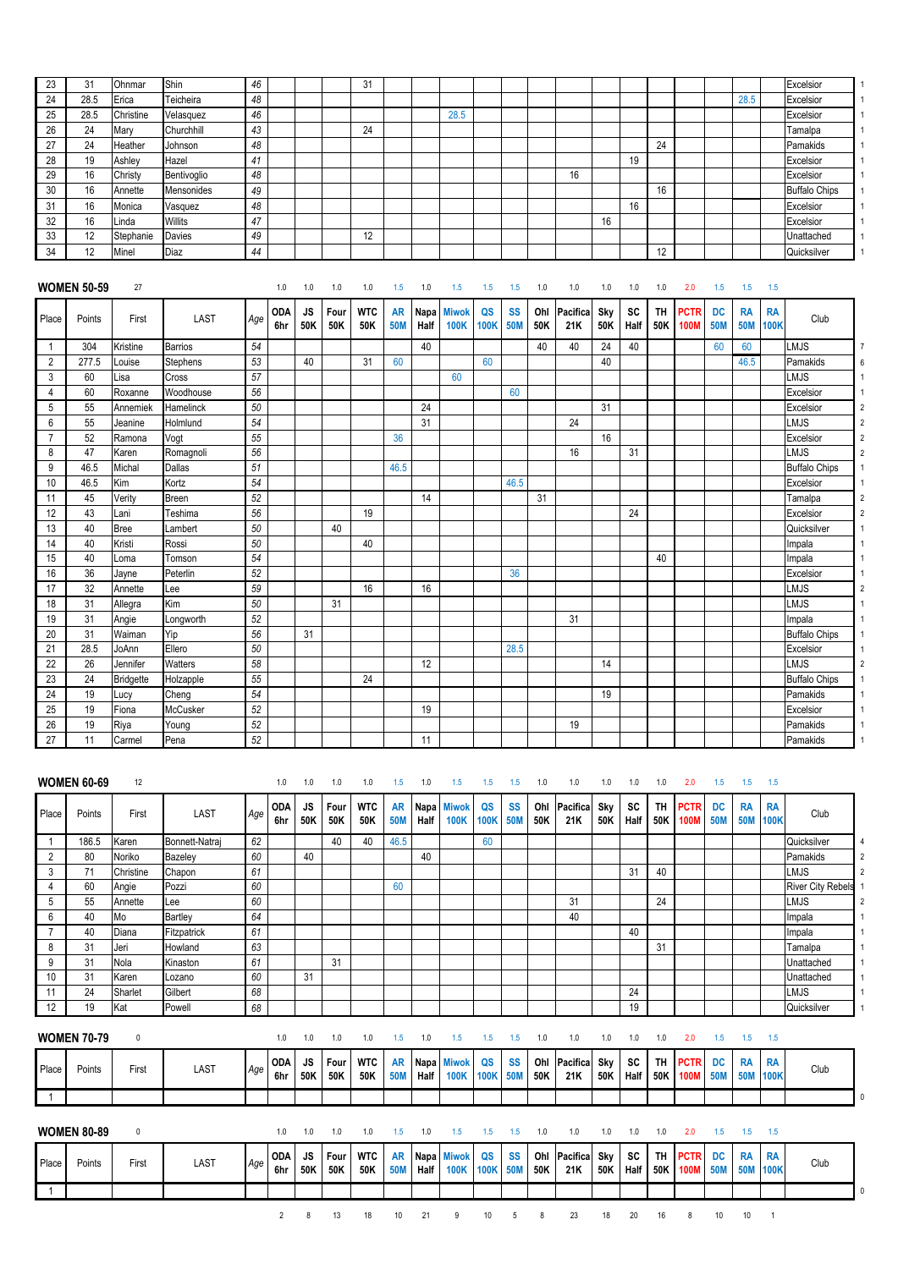| 23             | 31                           | Ohnmar      | Shin            | 46     |                          |                         |                    | 31                       |                                |                            |                                    |                          |                                |                   |                        |                          |                          |                         |                                   |                                |                                |                                 | Excelsior                |                |
|----------------|------------------------------|-------------|-----------------|--------|--------------------------|-------------------------|--------------------|--------------------------|--------------------------------|----------------------------|------------------------------------|--------------------------|--------------------------------|-------------------|------------------------|--------------------------|--------------------------|-------------------------|-----------------------------------|--------------------------------|--------------------------------|---------------------------------|--------------------------|----------------|
| 24             | 28.5                         | Erica       | Teicheira       | 48     |                          |                         |                    |                          |                                |                            |                                    |                          |                                |                   |                        |                          |                          |                         |                                   |                                | 28.5                           |                                 | Excelsior                |                |
| 25             | 28.5                         | Christine   | Velasquez       | 46     |                          |                         |                    |                          |                                |                            | 28.5                               |                          |                                |                   |                        |                          |                          |                         |                                   |                                |                                |                                 | Excelsior                |                |
| 26             | 24                           | Mary        | Churchhill      | 43     |                          |                         |                    | 24                       |                                |                            |                                    |                          |                                |                   |                        |                          |                          |                         |                                   |                                |                                |                                 | Tamalpa                  |                |
| 27             | 24                           | Heather     | Johnson         | 48     |                          |                         |                    |                          |                                |                            |                                    |                          |                                |                   |                        |                          |                          | 24                      |                                   |                                |                                |                                 | Pamakids                 |                |
| 28             | 19                           | Ashley      | Hazel           | 41     |                          |                         |                    |                          |                                |                            |                                    |                          |                                |                   |                        |                          | 19                       |                         |                                   |                                |                                |                                 | Excelsior                |                |
| 29             | 16                           |             |                 | 48     |                          |                         |                    |                          |                                |                            |                                    |                          |                                |                   | 16                     |                          |                          |                         |                                   |                                |                                |                                 | Excelsior                |                |
|                |                              | Christy     | Bentivoglio     |        |                          |                         |                    |                          |                                |                            |                                    |                          |                                |                   |                        |                          |                          |                         |                                   |                                |                                |                                 |                          |                |
| 30             | 16                           | Annette     | Mensonides      | 49     |                          |                         |                    |                          |                                |                            |                                    |                          |                                |                   |                        |                          |                          | 16                      |                                   |                                |                                |                                 | <b>Buffalo Chips</b>     |                |
| 31             | 16                           | Monica      | Vasquez         | 48     |                          |                         |                    |                          |                                |                            |                                    |                          |                                |                   |                        |                          | 16                       |                         |                                   |                                |                                |                                 | Excelsior                |                |
| 32             | 16                           | Linda       | Willits         | 47     |                          |                         |                    |                          |                                |                            |                                    |                          |                                |                   |                        | 16                       |                          |                         |                                   |                                |                                |                                 | Excelsior                |                |
| 33             | 12                           | Stephanie   | Davies          | 49     |                          |                         |                    | 12                       |                                |                            |                                    |                          |                                |                   |                        |                          |                          |                         |                                   |                                |                                |                                 | Unattached               |                |
| 34             | 12                           | Minel       | Diaz            | 44     |                          |                         |                    |                          |                                |                            |                                    |                          |                                |                   |                        |                          |                          | 12                      |                                   |                                |                                |                                 | Quicksilver              |                |
| Place          | <b>WOMEN 50-59</b><br>Points | 27<br>First | <b>LAST</b>     | Age    | 1.0<br><b>ODA</b><br>6hr | 1.0<br><b>JS</b><br>50K | 1.0<br>Four<br>50K | 1.0<br><b>WTC</b><br>50K | 1.5<br><b>AR</b><br><b>50M</b> | 1.0<br>Napa<br>Half        | 1.5<br><b>Miwok</b><br><b>100K</b> | 1.5<br>QS<br><b>100K</b> | 1.5<br><b>SS</b><br><b>50M</b> | 1.0<br>Ohl<br>50K | 1.0<br>Pacifica<br>21K | 1.0<br><b>Sky</b><br>50K | 1.0<br><b>SC</b><br>Half | 1.0<br><b>TH</b><br>50K | 2.0<br><b>PCTR</b><br><b>100M</b> | 1.5<br><b>DC</b><br><b>50M</b> | 1.5<br><b>RA</b><br><b>50M</b> | 1.5<br><b>RA</b><br><b>100K</b> | Club                     |                |
|                |                              |             |                 |        |                          |                         |                    |                          |                                |                            |                                    |                          |                                |                   |                        |                          |                          |                         |                                   |                                |                                |                                 |                          |                |
| $\overline{1}$ | 304                          | Kristine    | <b>Barrios</b>  | 54     |                          |                         |                    |                          |                                | 40                         |                                    |                          |                                | 40                | 40                     | 24                       | 40                       |                         |                                   | 60                             | 60                             |                                 | <b>LMJS</b>              | 6              |
| $\overline{2}$ | 277.5                        | Louise      | <b>Stephens</b> | 53     |                          | 40                      |                    | 31                       | 60                             |                            |                                    | 60                       |                                |                   |                        | 40                       |                          |                         |                                   |                                | 46.5                           |                                 | Pamakids                 |                |
| 3              | 60                           | Lisa        | Cross           | 57     |                          |                         |                    |                          |                                |                            | 60                                 |                          |                                |                   |                        |                          |                          |                         |                                   |                                |                                |                                 | <b>LMJS</b>              |                |
| 4              | 60                           | Roxanne     | Woodhouse       | 56     |                          |                         |                    |                          |                                |                            |                                    |                          | 60                             |                   |                        |                          |                          |                         |                                   |                                |                                |                                 | Excelsior                |                |
| 5              | 55                           | Annemiek    | Hamelinck       | 50     |                          |                         |                    |                          |                                | 24                         |                                    |                          |                                |                   |                        | 31                       |                          |                         |                                   |                                |                                |                                 | Excelsior                | $\overline{2}$ |
| 6              | 55                           | Jeanine     | Holmlund        | 54     |                          |                         |                    |                          |                                | 31                         |                                    |                          |                                |                   | 24                     |                          |                          |                         |                                   |                                |                                |                                 | <b>LMJS</b>              | $\overline{2}$ |
| 7              | 52                           | Ramona      | Vogt            | 55     |                          |                         |                    |                          | 36                             |                            |                                    |                          |                                |                   |                        | 16                       |                          |                         |                                   |                                |                                |                                 | Excelsior                | $\overline{2}$ |
| 8              | 47                           | Karen       | Romagnoli       | 56     |                          |                         |                    |                          |                                |                            |                                    |                          |                                |                   | 16                     |                          | 31                       |                         |                                   |                                |                                |                                 | <b>LMJS</b>              | $\overline{2}$ |
| 9              | 46.5                         | Michal      | Dallas          | 51     |                          |                         |                    |                          | 46.5                           |                            |                                    |                          |                                |                   |                        |                          |                          |                         |                                   |                                |                                |                                 | <b>Buffalo Chips</b>     |                |
| 10             | 46.5                         | Kim         | Kortz           | 54     |                          |                         |                    |                          |                                |                            |                                    |                          | 46.5                           |                   |                        |                          |                          |                         |                                   |                                |                                |                                 | Excelsior                |                |
| 11             | 45                           | Verity      | Breen           | 52     |                          |                         |                    |                          |                                | 14                         |                                    |                          |                                | 31                |                        |                          |                          |                         |                                   |                                |                                |                                 | Tamalpa                  | $\overline{2}$ |
| 12             | 43                           | Lani        | Teshima         | 56     |                          |                         |                    | 19                       |                                |                            |                                    |                          |                                |                   |                        |                          | 24                       |                         |                                   |                                |                                |                                 | Excelsior                | $\overline{2}$ |
| 13             | 40                           | <b>Bree</b> | Lambert         | 50     |                          |                         | 40                 |                          |                                |                            |                                    |                          |                                |                   |                        |                          |                          |                         |                                   |                                |                                |                                 | Quicksilver              |                |
| 14             | 40                           | Kristi      | Rossi           | 50     |                          |                         |                    | 40                       |                                |                            |                                    |                          |                                |                   |                        |                          |                          |                         |                                   |                                |                                |                                 | Impala                   |                |
| 15             | 40                           | Loma        | Tomson          | 54     |                          |                         |                    |                          |                                |                            |                                    |                          |                                |                   |                        |                          |                          | 40                      |                                   |                                |                                |                                 | Impala                   |                |
| 16             | 36                           | Jayne       | Peterlin        | 52     |                          |                         |                    |                          |                                |                            |                                    |                          | 36                             |                   |                        |                          |                          |                         |                                   |                                |                                |                                 | Excelsior                |                |
| 17             | 32                           | Annette     | Lee             | 59     |                          |                         |                    | 16                       |                                | 16                         |                                    |                          |                                |                   |                        |                          |                          |                         |                                   |                                |                                |                                 | <b>LMJS</b>              | $\overline{2}$ |
| 18             | 31                           | Allegra     | Kim             | 50     |                          |                         | 31                 |                          |                                |                            |                                    |                          |                                |                   |                        |                          |                          |                         |                                   |                                |                                |                                 | <b>LMJS</b>              |                |
|                | 31                           |             |                 | 52     |                          |                         |                    |                          |                                |                            |                                    |                          |                                |                   |                        |                          |                          |                         |                                   |                                |                                |                                 |                          |                |
| 19             |                              | Angie       | Longworth       |        |                          |                         |                    |                          |                                |                            |                                    |                          |                                |                   | 31                     |                          |                          |                         |                                   |                                |                                |                                 | Impala                   |                |
| 20             | 31                           | Waiman      | Yip             | 56     |                          | 31                      |                    |                          |                                |                            |                                    |                          |                                |                   |                        |                          |                          |                         |                                   |                                |                                |                                 | <b>Buffalo Chips</b>     |                |
| 21             | 28.5                         | JoAnn       | Ellero          | $50\,$ |                          |                         |                    |                          |                                |                            |                                    |                          | 28.5                           |                   |                        |                          |                          |                         |                                   |                                |                                |                                 | Excelsior                | $\overline{1}$ |
| 22             | 26                           | Jennifer    | Watters         | 58     |                          |                         |                    |                          |                                | 12                         |                                    |                          |                                |                   |                        | 14                       |                          |                         |                                   |                                |                                |                                 | <b>LMJS</b>              | $\overline{2}$ |
| 23             | 24                           | Bridgette   | Holzapple       | 55     |                          |                         |                    | 24                       |                                |                            |                                    |                          |                                |                   |                        |                          |                          |                         |                                   |                                |                                |                                 | <b>Buffalo Chips</b>     |                |
| 24             | 19                           | Lucy        | Cheng           | 54     |                          |                         |                    |                          |                                |                            |                                    |                          |                                |                   |                        | 19                       |                          |                         |                                   |                                |                                |                                 | Pamakids                 |                |
| 25             | 19                           | Fiona       | McCusker        | 52     |                          |                         |                    |                          |                                | 19                         |                                    |                          |                                |                   |                        |                          |                          |                         |                                   |                                |                                |                                 | Excelsior                |                |
| 26             | 19                           | Riya        | Young           | 52     |                          |                         |                    |                          |                                |                            |                                    |                          |                                |                   | 19                     |                          |                          |                         |                                   |                                |                                |                                 | Pamakids                 |                |
| 27             | 11                           | Carmel      | Pena            | 52     |                          |                         |                    |                          |                                | 11                         |                                    |                          |                                |                   |                        |                          |                          |                         |                                   |                                |                                |                                 | Pamakids                 |                |
| Place          | <b>WOMEN 60-69</b><br>Points | 12<br>First | <b>LAST</b>     | Age    | 1.0<br><b>ODA</b><br>6hr | 1.0<br><b>JS</b><br>50K | 1.0<br>Four<br>50K | 1.0<br><b>WTC</b><br>50K | 1.5<br><b>AR</b><br><b>50M</b> | 1.0<br><b>Napa</b><br>Half | 1.5<br><b>Miwok</b><br><b>100K</b> | 1.5<br>QS<br><b>100K</b> | 1.5<br><b>SS</b><br><b>50M</b> | 1.0<br>Ohl<br>50K | 1.0<br>Pacifica<br>21K | 1.0<br><b>Sky</b><br>50K | 1.0<br><b>SC</b><br>Half | 1.0<br><b>TH</b><br>50K | 2.0<br><b>PCTR</b><br><b>100M</b> | 1.5<br><b>DC</b><br><b>50M</b> | 1.5<br><b>RA</b><br><b>50M</b> | 1.5<br><b>RA</b><br><b>100K</b> | Club                     |                |
| $\overline{1}$ | 186.5                        | Karen       | Bonnett-Natraj  | 62     |                          |                         | 40                 | 40                       | 46.5                           |                            |                                    | 60                       |                                |                   |                        |                          |                          |                         |                                   |                                |                                |                                 | Quicksilver              | 4              |
| $\overline{2}$ | 80                           | Noriko      | Bazeley         | 60     |                          | 40                      |                    |                          |                                | 40                         |                                    |                          |                                |                   |                        |                          |                          |                         |                                   |                                |                                |                                 | Pamakids                 | $\overline{2}$ |
|                |                              |             |                 | 61     |                          |                         |                    |                          |                                |                            |                                    |                          |                                |                   |                        |                          |                          |                         |                                   |                                |                                |                                 |                          |                |
| 3              | 71                           | Christine   | Chapon          |        |                          |                         |                    |                          |                                |                            |                                    |                          |                                |                   |                        |                          | 31                       | 40                      |                                   |                                |                                |                                 | <b>LMJS</b>              | $\overline{2}$ |
| $\overline{4}$ | 60                           | Angie       | Pozzi           | 60     |                          |                         |                    |                          | 60                             |                            |                                    |                          |                                |                   |                        |                          |                          |                         |                                   |                                |                                |                                 | <b>River City Rebels</b> |                |
| 5              | 55                           | Annette     | Lee             | 60     |                          |                         |                    |                          |                                |                            |                                    |                          |                                |                   | 31                     |                          |                          | 24                      |                                   |                                |                                |                                 | <b>LMJS</b>              | $\overline{2}$ |
| $6\,$          | 40                           | Mo          | <b>Bartley</b>  | 64     |                          |                         |                    |                          |                                |                            |                                    |                          |                                |                   | 40                     |                          |                          |                         |                                   |                                |                                |                                 | Impala                   |                |

7 40 Diana Fitzpatrick *61* 40 Impala 1 8 31 Jeri Howland *63* 31 Tamalpa 1

| 9               | 31                 | Nola        | Kinaston | 61  |                   |                  | 31          |                   |                         |      |                           |                   |                         |            |                 |            |                   |                  |                            |                         |                         |                   | Unattached  |  |
|-----------------|--------------------|-------------|----------|-----|-------------------|------------------|-------------|-------------------|-------------------------|------|---------------------------|-------------------|-------------------------|------------|-----------------|------------|-------------------|------------------|----------------------------|-------------------------|-------------------------|-------------------|-------------|--|
| 10 <sup>°</sup> | 31                 | Karen       | Lozano   | 60  |                   | 31               |             |                   |                         |      |                           |                   |                         |            |                 |            |                   |                  |                            |                         |                         |                   | Unattached  |  |
| 11              | 24                 | Sharlet     | Gilbert  | 68  |                   |                  |             |                   |                         |      |                           |                   |                         |            |                 |            | 24                |                  |                            |                         |                         |                   | <b>LMJS</b> |  |
| 12              | 19                 | Kat         | Powell   | 68  |                   |                  |             |                   |                         |      |                           |                   |                         |            |                 |            | 19                |                  |                            |                         |                         |                   | Quicksilver |  |
|                 | <b>WOMEN 70-79</b> | 0           |          |     | 1.0               | 1.0              | 1.0         | 1.0               | 1.5                     | 1.0  | 1.5                       | 1.5               | 1.5                     | 1.0        | 1.0             | 1.0        | 1.0               | 1.0              | 2.0                        | 1.5                     | 1.5                     | 1.5               |             |  |
| Place           | Points             | First       | LAST     | Age | <b>ODA</b><br>6hr | <b>JS</b><br>50K | Four<br>50K | <b>WTC</b><br>50K | <b>AR</b><br><b>50M</b> | Half | Napa Miwok<br><b>100K</b> | QS<br><b>100K</b> | <b>SS</b><br><b>50M</b> | Ohl<br>50K | Pacifica<br>21K | Sky<br>50K | <b>SC</b><br>Half | <b>TH</b><br>50K | <b>PCTR</b><br>100M 50M    | <b>DC</b>               | <b>RA</b><br><b>50M</b> | <b>RA</b><br>100K | Club        |  |
|                 |                    |             |          |     |                   |                  |             |                   |                         |      |                           |                   |                         |            |                 |            |                   |                  |                            |                         |                         |                   |             |  |
|                 | <b>WOMEN 80-89</b> | $\mathbf 0$ |          |     | 1.0               | 1.0              | 1.0         | 1.0               | 1.5                     | 1.0  | 1.5                       | 1.5               | 1.5                     | 1.0        | 1.0             | 1.0        | 1.0               | 1.0              | 2.0                        | 1.5                     | 1.5                     | 1.5               |             |  |
| Place           | Points             | First       | LAST     | Age | <b>ODA</b><br>6hr | <b>JS</b><br>50K | Four<br>50K | <b>WTC</b><br>50K | <b>AR</b><br><b>50M</b> | Half | Napa Miwok<br><b>100K</b> | QS<br><b>100K</b> | <b>SS</b><br><b>50M</b> | Ohl<br>50K | Pacifica<br>21K | Sky<br>50K | <b>SC</b><br>Half | <b>TH</b><br>50K | <b>PCTR</b><br><b>100M</b> | <b>DC</b><br><b>50M</b> | <b>RA</b><br><b>50M</b> | <b>RA</b><br>100K | Club        |  |
|                 |                    |             |          |     |                   |                  |             |                   |                         |      |                           |                   |                         |            |                 |            |                   |                  |                            |                         |                         |                   |             |  |
|                 |                    |             |          |     | $\overline{2}$    | 8                | 13          | 18                | 10 <sup>°</sup>         | 21   | 9                         | 10                | 5                       | 8          | 23              | 18         | 20                | 16               | 8                          | 10                      | 10                      |                   |             |  |